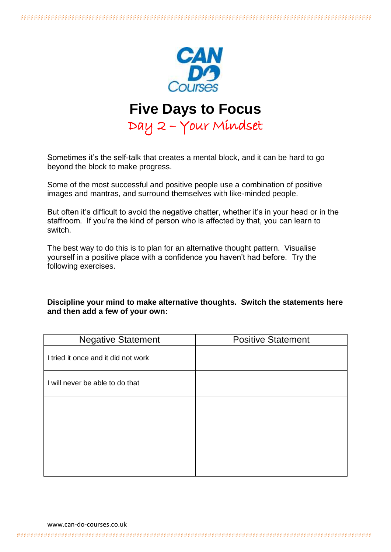

# **Five Days to Focus**

Day 2 – Your Mindset

Sometimes it's the self-talk that creates a mental block, and it can be hard to go beyond the block to make progress.

Some of the most successful and positive people use a combination of positive images and mantras, and surround themselves with like-minded people.

But often it's difficult to avoid the negative chatter, whether it's in your head or in the staffroom. If you're the kind of person who is affected by that, you can learn to switch.

The best way to do this is to plan for an alternative thought pattern. Visualise yourself in a positive place with a confidence you haven't had before. Try the following exercises.

#### **Discipline your mind to make alternative thoughts. Switch the statements here and then add a few of your own:**

| <b>Negative Statement</b>           | <b>Positive Statement</b> |
|-------------------------------------|---------------------------|
| I tried it once and it did not work |                           |
| I will never be able to do that     |                           |
|                                     |                           |
|                                     |                           |
|                                     |                           |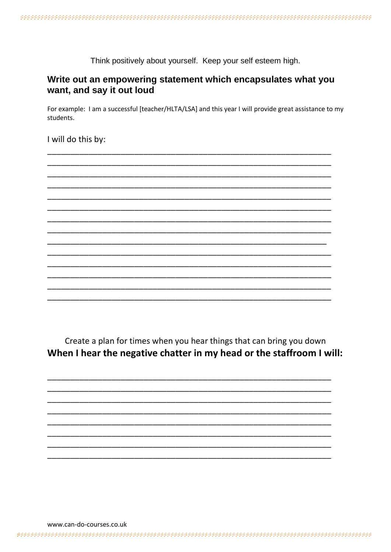Think positively about yourself. Keep your self esteem high.

## Write out an empowering statement which encapsulates what you want, and say it out loud

For example: I am a successful [teacher/HLTA/LSA] and this year I will provide great assistance to my students.

I will do this by:

Create a plan for times when you hear things that can bring you down When I hear the negative chatter in my head or the staffroom I will:

www.can-do-courses.co.uk